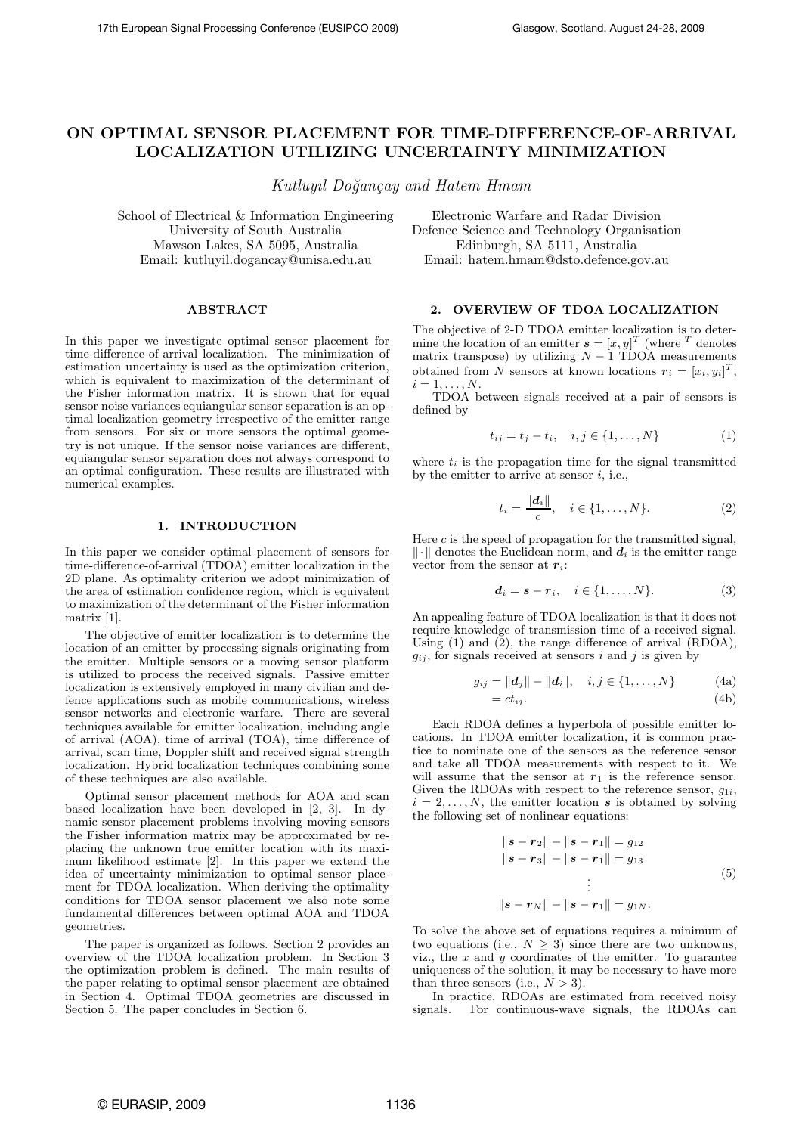# **ON OPTIMAL SENSOR PLACEMENT FOR TIME-DIFFERENCE-OF-ARRIVAL LOCALIZATION UTILIZING UNCERTAINTY MINIMIZATION**

*Kutluyıl Do˘gan¸cay and Hatem Hmam*

School of Electrical & Information Engineering University of South Australia Mawson Lakes, SA 5095, Australia Email: kutluyil.dogancay@unisa.edu.au

**ABSTRACT**

In this paper we investigate optimal sensor placement for time-difference-of-arrival localization. The minimization of estimation uncertainty is used as the optimization criterion, which is equivalent to maximization of the determinant of the Fisher information matrix. It is shown that for equal sensor noise variances equiangular sensor separation is an optimal localization geometry irrespective of the emitter range from sensors. For six or more sensors the optimal geometry is not unique. If the sensor noise variances are different, equiangular sensor separation does not always correspond to an optimal configuration. These results are illustrated with numerical examples.

# **1. INTRODUCTION**

In this paper we consider optimal placement of sensors for time-difference-of-arrival (TDOA) emitter localization in the 2D plane. As optimality criterion we adopt minimization of the area of estimation confidence region, which is equivalent to maximization of the determinant of the Fisher information matrix [1].

The objective of emitter localization is to determine the location of an emitter by processing signals originating from the emitter. Multiple sensors or a moving sensor platform is utilized to process the received signals. Passive emitter localization is extensively employed in many civilian and defence applications such as mobile communications, wireless sensor networks and electronic warfare. There are several techniques available for emitter localization, including angle of arrival (AOA), time of arrival (TOA), time difference of arrival, scan time, Doppler shift and received signal strength localization. Hybrid localization techniques combining some of these techniques are also available.

Optimal sensor placement methods for AOA and scan based localization have been developed in [2, 3]. In dynamic sensor placement problems involving moving sensors the Fisher information matrix may be approximated by replacing the unknown true emitter location with its maximum likelihood estimate [2]. In this paper we extend the idea of uncertainty minimization to optimal sensor placement for TDOA localization. When deriving the optimality conditions for TDOA sensor placement we also note some fundamental differences between optimal AOA and TDOA geometries.

The paper is organized as follows. Section 2 provides an overview of the TDOA localization problem. In Section 3 the optimization problem is defined. The main results of the paper relating to optimal sensor placement are obtained in Section 4. Optimal TDOA geometries are discussed in Section 5. The paper concludes in Section 6.

Electronic Warfare and Radar Division Defence Science and Technology Organisation Edinburgh, SA 5111, Australia Email: hatem.hmam@dsto.defence.gov.au

#### **2. OVERVIEW OF TDOA LOCALIZATION**

The objective of 2-D TDOA emitter localization is to determine the location of an emitter  $\mathbf{s} = [x, y]^T$  (where <sup>T</sup> denotes matrix transpose) by utilizing  $N-1$  TDOA measurements matrix transpose) by utilizing  $N - 1$  TDOA measurements obtained from N sensors at known locations  $r_i = [x_i, y_i]^T$ ,  $i = 1, ..., N$ .  $i=1,\ldots,N.$ 

TDOA between signals received at a pair of sensors is defined by

$$
t_{ij} = t_j - t_i, \quad i, j \in \{1, ..., N\}
$$
 (1)

where  $t_i$  is the propagation time for the signal transmitted by the emitter to arrive at sensor  $i$ , i.e.,

$$
t_i = \frac{\|d_i\|}{c}, \quad i \in \{1, \dots, N\}.
$$
 (2)

Here  $c$  is the speed of propagation for the transmitted signal,  $\|\cdot\|$  denotes the Euclidean norm, and  $d_i$  is the emitter range vector from the sensor at  $r_i$ :

$$
\mathbf{d}_i = \mathbf{s} - \mathbf{r}_i, \quad i \in \{1, \dots, N\}.
$$
 (3)

An appealing feature of TDOA localization is that it does not require knowledge of transmission time of a received signal. Using (1) and  $(2)$ , the range difference of arrival  $(RD\ddot{O}A)$ ,  $g_{ij}$ , for signals received at sensors i and j is given by

$$
g_{ij} = ||\mathbf{d}_j|| - ||\mathbf{d}_i||, \quad i, j \in \{1, ..., N\}
$$
 (4a)  
=  $ct_{ij}$ . (4b)

Each RDOA defines a hyperbola of possible emitter locations. In TDOA emitter localization, it is common practice to nominate one of the sensors as the reference sensor and take all TDOA measurements with respect to it. We will assume that the sensor at  $r_1$  is the reference sensor. Given the RDOAs with respect to the reference sensor,  $g_{1i}$ ,  $i = 2, \ldots, N$ , the emitter location *s* is obtained by solving the following set of nonlinear equations:

$$
||s - r_2|| - ||s - r_1|| = g_{12}
$$
  
\n
$$
||s - r_3|| - ||s - r_1|| = g_{13}
$$
  
\n
$$
\vdots
$$
  
\n
$$
||s - r_N|| - ||s - r_1|| = g_{1N}.
$$
\n(5)

To solve the above set of equations requires a minimum of two equations (i.e.,  $N \geq 3$ ) since there are two unknowns, viz., the  $x$  and  $y$  coordinates of the emitter. To guarantee uniqueness of the solution, it may be necessary to have more than three sensors (i.e.,  $N > 3$ ).

In practice, RDOAs are estimated from received noisy signals. For continuous-wave signals, the RDOAs can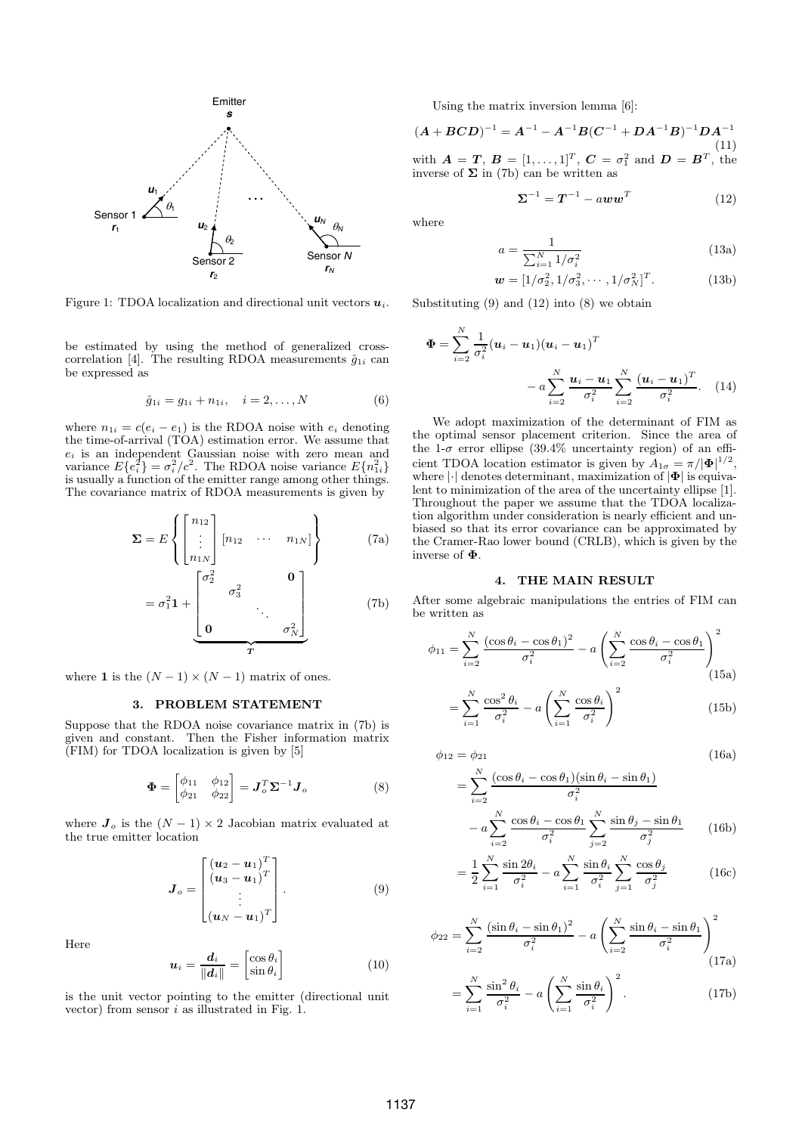

Figure 1: TDOA localization and directional unit vectors  $u_i$ .

be estimated by using the method of generalized crosscorrelation [4]. The resulting RDOA measurements  $\hat{g}_{1i}$  can be expressed as

$$
\hat{g}_{1i} = g_{1i} + n_{1i}, \quad i = 2, ..., N \tag{6}
$$

where  $n_{1i} = c(e_i - e_1)$  is the RDOA noise with  $e_i$  denoting the time-of-arrival (TOA) estimation error. We assume that  $e_i$  is an independent Gaussian noise with zero mean and variance  $E{e_i^2} = \sigma_i^2/c^2$ . The RDOA noise variance  $E{n_i^2}$ . variance  $E\{e_i^2\} = \sigma_i^2/c^2$ . The RDOA noise variance  $E\{n_{1i}^2\}$  is usually a function of the emitter range among other things. is usually a function of the emitter range among other things. The covariance matrix of RDOA measurements is given by

$$
\Sigma = E \left\{ \begin{bmatrix} n_{12} \\ \vdots \\ n_{1N} \end{bmatrix} [n_{12} \cdots n_{1N}] \right\}
$$
(7a)  

$$
= \sigma_1^2 \mathbf{1} + \begin{bmatrix} \sigma_2^2 & \mathbf{0} \\ \vdots & \ddots & \vdots \\ \mathbf{0} & \sigma_N^2 \end{bmatrix}
$$
(7b)

where **1** is the  $(N-1) \times (N-1)$  matrix of ones.

# **3. PROBLEM STATEMENT**

Suppose that the RDOA noise covariance matrix in (7b) is given and constant. Then the Fisher information matrix (FIM) for TDOA localization is given by [5]

$$
\mathbf{\Phi} = \begin{bmatrix} \phi_{11} & \phi_{12} \\ \phi_{21} & \phi_{22} \end{bmatrix} = \mathbf{J}_o^T \mathbf{\Sigma}^{-1} \mathbf{J}_o \tag{8}
$$

where  $J_o$  is the  $(N - 1) \times 2$  Jacobian matrix evaluated at the true emitter location

$$
\boldsymbol{J}_{o} = \begin{bmatrix} (\boldsymbol{u}_{2} - \boldsymbol{u}_{1})^{T} \\ (\boldsymbol{u}_{3} - \boldsymbol{u}_{1})^{T} \\ \vdots \\ (\boldsymbol{u}_{N} - \boldsymbol{u}_{1})^{T} \end{bmatrix} . \tag{9}
$$

Here

$$
\boldsymbol{u}_i = \frac{\boldsymbol{d}_i}{\|\boldsymbol{d}_i\|} = \begin{bmatrix} \cos \theta_i \\ \sin \theta_i \end{bmatrix}
$$
 (10)

is the unit vector pointing to the emitter (directional unit vector) from sensor i as illustrated in Fig. 1.

Using the matrix inversion lemma [6]:

 $(A + BCD)^{-1} = A^{-1} - A^{-1}B(C^{-1} + DA^{-1}B)^{-1}DA^{-1}$ (11) with  $\mathbf{A} = \mathbf{T}$ ,  $\mathbf{B} = [1, \dots, 1]^T$ ,  $\mathbf{C} = \sigma_1^2$  and  $\mathbf{D} = \mathbf{B}^T$ , the inverse of  $\Sigma$  in (7b) can be written as

$$
\Sigma^{-1} = T^{-1} - aww^T \tag{12}
$$

where

$$
a = \frac{1}{\sum_{i=1}^{N} 1/\sigma_i^2}
$$
 (13a)

$$
\mathbf{w} = [1/\sigma_2^2, 1/\sigma_3^2, \cdots, 1/\sigma_N^2]^T.
$$
 (13b)

Substituting  $(9)$  and  $(12)$  into  $(8)$  we obtain

$$
\Phi = \sum_{i=2}^{N} \frac{1}{\sigma_i^2} (u_i - u_1)(u_i - u_1)^T - a \sum_{i=2}^{N} \frac{u_i - u_1}{\sigma_i^2} \sum_{i=2}^{N} \frac{(u_i - u_1)^T}{\sigma_i^2}.
$$
 (14)

We adopt maximization of the determinant of FIM as the optimal sensor placement criterion. Since the area of the 1- $\sigma$  error ellipse (39.4% uncertainty region) of an efficient TDOA location estimator is given by  $A_{1\sigma} = \pi/|\Phi|^{1/2}$ ,<br>where  $|\cdot|$  denotes determinant, maximization of  $|\Phi|$  is equivawhere |·| denotes determinant, maximization of |**Φ**| is equivalent to minimization of the area of the uncertainty ellipse [1]. Throughout the paper we assume that the TDOA localization algorithm under consideration is nearly efficient and unbiased so that its error covariance can be approximated by the Cramer-Rao lower bound (CRLB), which is given by the inverse of **Φ**.

### **4. THE MAIN RESULT**

After some algebraic manipulations the entries of FIM can be written as

$$
\phi_{11} = \sum_{i=2}^{N} \frac{(\cos \theta_i - \cos \theta_1)^2}{\sigma_i^2} - a \left( \sum_{i=2}^{N} \frac{\cos \theta_i - \cos \theta_1}{\sigma_i^2} \right)^2
$$
(15a)

$$
=\sum_{i=1}^{N}\frac{\cos^{2}\theta_{i}}{\sigma_{i}^{2}}-a\left(\sum_{i=1}^{N}\frac{\cos\theta_{i}}{\sigma_{i}^{2}}\right)^{2}
$$
(15b)

$$
\phi_{12} = \phi_{21} \tag{16a}
$$

$$
= \sum_{i=2}^{N} \frac{(\cos \theta_i - \cos \theta_1)(\sin \theta_i - \sin \theta_1)}{\sigma_i^2}
$$

$$
- a \sum_{i=2}^{N} \frac{\cos \theta_i - \cos \theta_1}{\sigma_i^2} \sum_{j=2}^{N} \frac{\sin \theta_j - \sin \theta_1}{\sigma_j^2} \qquad (16b)
$$

$$
= \frac{1}{2} \sum_{i=1}^{N} \frac{\sin 2\theta_i}{\sigma_i^2} - a \sum_{i=1}^{N} \frac{\sin \theta_i}{\sigma_i^2} \sum_{j=1}^{N} \frac{\cos \theta_j}{\sigma_j^2}
$$
(16c)

$$
\phi_{22} = \sum_{i=2}^{N} \frac{(\sin \theta_i - \sin \theta_1)^2}{\sigma_i^2} - a \left( \sum_{i=2}^{N} \frac{\sin \theta_i - \sin \theta_1}{\sigma_i^2} \right)^2
$$
(17a)

$$
=\sum_{i=1}^{N}\frac{\sin^2\theta_i}{\sigma_i^2}-a\left(\sum_{i=1}^{N}\frac{\sin\theta_i}{\sigma_i^2}\right)^2.
$$
 (17b)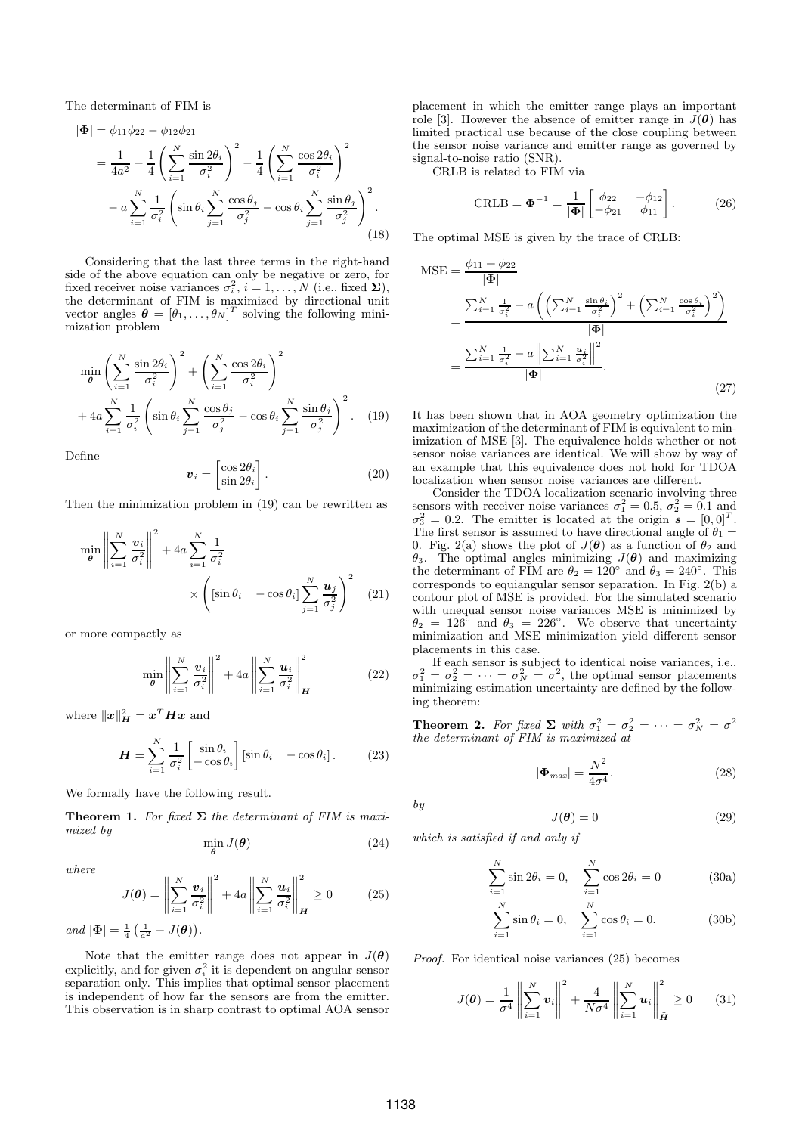The determinant of FIM is

$$
|\Phi| = \phi_{11}\phi_{22} - \phi_{12}\phi_{21}
$$
  
=  $\frac{1}{4a^2} - \frac{1}{4}\left(\sum_{i=1}^N \frac{\sin 2\theta_i}{\sigma_i^2}\right)^2 - \frac{1}{4}\left(\sum_{i=1}^N \frac{\cos 2\theta_i}{\sigma_i^2}\right)^2$   
-  $a\sum_{i=1}^N \frac{1}{\sigma_i^2}\left(\sin \theta_i \sum_{j=1}^N \frac{\cos \theta_j}{\sigma_j^2} - \cos \theta_i \sum_{j=1}^N \frac{\sin \theta_j}{\sigma_j^2}\right)^2$ . (18)

Considering that the last three terms in the right-hand side of the above equation can only be negative or zero, for fixed receiver noise variances  $\sigma_i^2$ ,  $i = 1, \ldots, N$  (i.e., fixed  $\Sigma$ ), the determinant of FIM is maximized by directional unit the determinant of FIM is maximized by directional unit vector angles  $\boldsymbol{\theta} = [\theta_1, \dots, \theta_N]^T$  solving the following mini-<br>mization problem mization problem

$$
\min_{\theta} \left( \sum_{i=1}^{N} \frac{\sin 2\theta_i}{\sigma_i^2} \right)^2 + \left( \sum_{i=1}^{N} \frac{\cos 2\theta_i}{\sigma_i^2} \right)^2 + 4a \sum_{i=1}^{N} \frac{1}{\sigma_i^2} \left( \sin \theta_i \sum_{j=1}^{N} \frac{\cos \theta_j}{\sigma_j^2} - \cos \theta_i \sum_{j=1}^{N} \frac{\sin \theta_j}{\sigma_j^2} \right)^2.
$$
 (19)

Define

$$
\boldsymbol{v}_i = \begin{bmatrix} \cos 2\theta_i \\ \sin 2\theta_i \end{bmatrix} . \tag{20}
$$

Then the minimization problem in (19) can be rewritten as

$$
\min_{\theta} \left\| \sum_{i=1}^{N} \frac{\boldsymbol{v}_{i}}{\sigma_{i}^{2}} \right\|^{2} + 4a \sum_{i=1}^{N} \frac{1}{\sigma_{i}^{2}} \times \left( [\sin \theta_{i} \quad -\cos \theta_{i}] \sum_{j=1}^{N} \frac{\boldsymbol{u}_{j}}{\sigma_{j}^{2}} \right)^{2} \tag{21}
$$

or more compactly as

$$
\min_{\theta} \left\| \sum_{i=1}^{N} \frac{\boldsymbol{v}_{i}}{\sigma_{i}^{2}} \right\|^{2} + 4a \left\| \sum_{i=1}^{N} \frac{\boldsymbol{u}_{i}}{\sigma_{i}^{2}} \right\|_{H}^{2} \qquad (22)
$$

where  $\|\boldsymbol{x}\|_{\boldsymbol{H}}^2 = \boldsymbol{x}^T \boldsymbol{H} \boldsymbol{x}$  and

$$
\boldsymbol{H} = \sum_{i=1}^{N} \frac{1}{\sigma_i^2} \begin{bmatrix} \sin \theta_i \\ -\cos \theta_i \end{bmatrix} [\sin \theta_i \quad -\cos \theta_i]. \tag{23}
$$

We formally have the following result.

**Theorem 1.** *For fixed*  $\Sigma$  *the determinant of FIM is maximized by*

$$
\min_{\boldsymbol{\theta}} J(\boldsymbol{\theta}) \tag{24}
$$

*where*

$$
J(\theta) = \left\| \sum_{i=1}^{N} \frac{\boldsymbol{v}_i}{\sigma_i^2} \right\|^2 + 4a \left\| \sum_{i=1}^{N} \frac{\boldsymbol{u}_i}{\sigma_i^2} \right\|_{\boldsymbol{H}}^2 \ge 0 \tag{25}
$$

 $and |\Phi| = \frac{1}{4} \left( \frac{1}{a^2} - J(\theta) \right).$ 

Note that the emitter range does not appear in  $J(\theta)$ explicitly, and for given  $\sigma_i^2$  it is dependent on angular sensor<br>senaration only. This implies that optimal sensor placement separation only. This implies that optimal sensor placement is independent of how far the sensors are from the emitter. This observation is in sharp contrast to optimal AOA sensor placement in which the emitter range plays an important role [3]. However the absence of emitter range in  $J(\theta)$  has limited practical use because of the close coupling between the sensor noise variance and emitter range as governed by signal-to-noise ratio (SNR).

CRLB is related to FIM via

$$
\text{CRLB} = \mathbf{\Phi}^{-1} = \frac{1}{|\mathbf{\Phi}|} \begin{bmatrix} \phi_{22} & -\phi_{12} \\ -\phi_{21} & \phi_{11} \end{bmatrix} . \tag{26}
$$

The optimal MSE is given by the trace of CRLB:

$$
MSE = \frac{\phi_{11} + \phi_{22}}{|\Phi|}
$$
  
= 
$$
\frac{\sum_{i=1}^{N} \frac{1}{\sigma_i^2} - a \left( \left( \sum_{i=1}^{N} \frac{\sin \theta_i}{\sigma_i^2} \right)^2 + \left( \sum_{i=1}^{N} \frac{\cos \theta_i}{\sigma_i^2} \right)^2 \right)}{|\Phi|}
$$
  
= 
$$
\frac{\sum_{i=1}^{N} \frac{1}{\sigma_i^2} - a \left\| \sum_{i=1}^{N} \frac{u_i}{\sigma_i^2} \right\|^2}{|\Phi|}.
$$
 (27)

It has been shown that in AOA geometry optimization the maximization of the determinant of FIM is equivalent to minimization of MSE [3]. The equivalence holds whether or not sensor noise variances are identical. We will show by way of an example that this equivalence does not hold for TDOA localization when sensor noise variances are different.

Consider the TDOA localization scenario involving three sensors with receiver noise variances  $\sigma_1^2 = 0.5$ ,  $\sigma_2^2 = 0.1$  and  $\sigma_3^2 = 0.2$ . The emitter is located at the origin  $s = [0, 0]^T$ .  $\sigma_3^2 = 0.2$ . The emitter is located at the origin  $\mathbf{\tilde{s}} = [0, 0]^T$ .<br>The first sensor is assumed to have directional angle of  $\theta_1 =$ The first sensor is assumed to have directional angle of  $\theta_1 =$ 0. Fig. 2(a) shows the plot of  $J(\theta)$  as a function of  $\theta_2$  and θ<sup>3</sup>. The optimal angles minimizing J(*θ*) and maximizing the determinant of FIM are  $\theta_2 = 120^\circ$  and  $\theta_3 = 240^\circ$ . This corresponds to equiangular sensor separation. In Fig. 2(b) a corresponds to equiangular sensor separation. In Fig. 2(b) a contour plot of MSE is provided. For the simulated scenario with unequal sensor noise variances MSE is minimized by  $\theta_2 = 126^\circ$  and  $\theta_3 = 226^\circ$ . We observe that uncertainty  $\theta_2 = 126^\circ$  and  $\theta_3 = 226^\circ$ . We observe that uncertainty minimization and MSE minimization yield different sensor placements in this case.

If each sensor is subject to identical noise variances, i.e.,  $\sigma_1^2 = \sigma_2^2 = \cdots = \sigma_N^2 = \sigma^2$ , the optimal sensor placements<br>minimizing estimation uncertainty are defined by the followminimizing estimation uncertainty are defined by the following theorem:

**Theorem 2.** *For fixed*  $\Sigma$  *with*  $\sigma_1^2 = \sigma_2^2 = \cdots = \sigma_N^2 = \sigma^2$ <br>*the determinant of FIM is maximized at* 

$$
|\Phi_{max}| = \frac{N^2}{4\sigma^4}.
$$
 (28)

 $J(\theta) = 0$  (29)

*by*

*which is satisfied if and only if*

$$
\sum_{i=1}^{N} \sin 2\theta_i = 0, \quad \sum_{i=1}^{N} \cos 2\theta_i = 0
$$
 (30a)

$$
\sum_{i=1}^{N} \sin \theta_i = 0, \quad \sum_{i=1}^{N} \cos \theta_i = 0.
$$
 (30b)

*Proof.* For identical noise variances (25) becomes

$$
J(\boldsymbol{\theta}) = \frac{1}{\sigma^4} \left\| \sum_{i=1}^N \boldsymbol{v}_i \right\|^2 + \frac{4}{N\sigma^4} \left\| \sum_{i=1}^N \boldsymbol{u}_i \right\|_{\tilde{\boldsymbol{H}}}^2 \ge 0 \qquad (31)
$$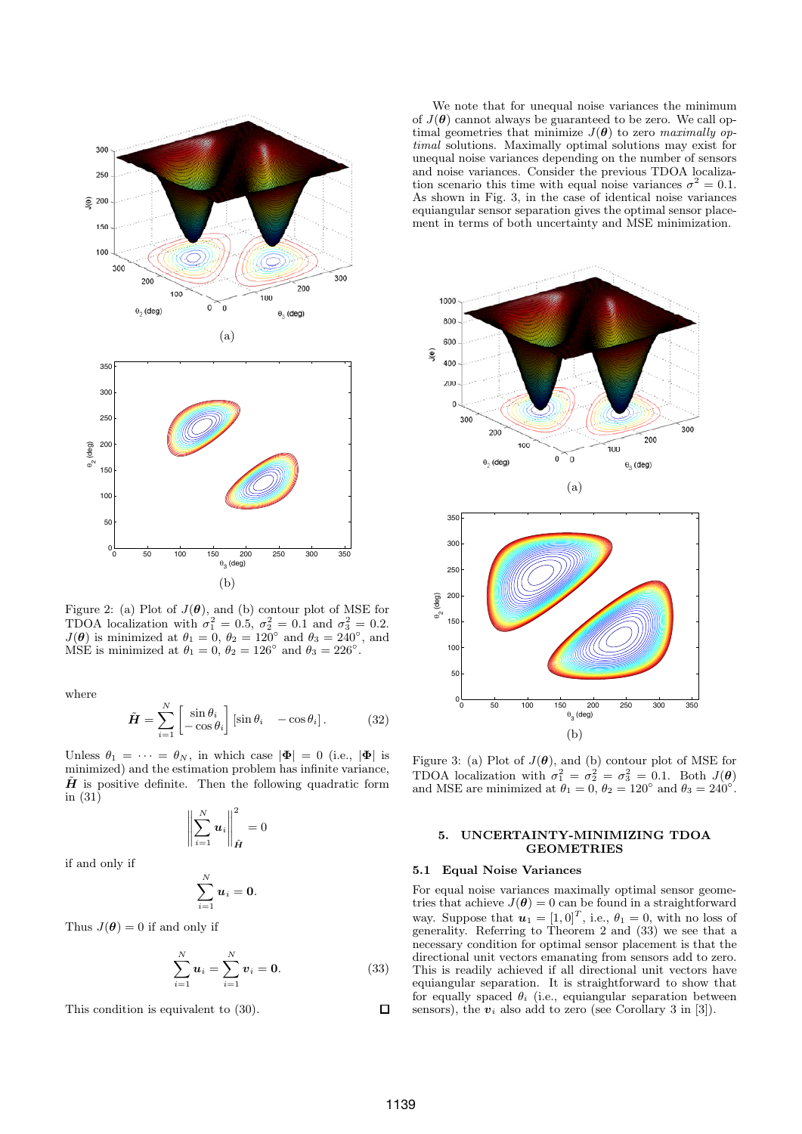

Figure 2: (a) Plot of  $J(\theta)$ , and (b) contour plot of MSE for TDOA localization with  $\sigma_1^2 = 0.5$ ,  $\sigma_2^2 = 0.1$  and  $\sigma_3^2 = 0.2$ .<br>  $J(\theta)$  is minimized at  $\theta_1 = 0$ ,  $\theta_2 = 120^\circ$  and  $\theta_3 = 240^\circ$  and  $J(\theta)$  is minimized at  $\theta_1 = 0$ ,  $\theta_2 = 120^\circ$  and  $\theta_3 = 240^\circ$ , and MSE is minimized at  $\theta_1 = 0$ ,  $\theta_2 = 126^\circ$  and  $\theta_3 = 226^\circ$ .

where

$$
\tilde{H} = \sum_{i=1}^{N} \begin{bmatrix} \sin \theta_i \\ -\cos \theta_i \end{bmatrix} [\sin \theta_i \quad -\cos \theta_i]. \tag{32}
$$

Unless  $\theta_1 = \cdots = \theta_N$ , in which case  $|\mathbf{\Phi}| = 0$  (i.e.,  $|\mathbf{\Phi}|$  is minimized) and the estimation problem has infinite variance,  $H$  is positive definite. Then the following quadratic form in (31)

$$
\left\| \sum_{i=1}^N \boldsymbol{u}_i \right\|_{\tilde{\boldsymbol{H}}}^2 = 0
$$

if and only if

$$
\sum_{i=1}^N u_i = 0.
$$

Thus  $J(\theta) = 0$  if and only if

$$
\sum_{i=1}^{N} u_i = \sum_{i=1}^{N} v_i = 0.
$$
 (33)

This condition is equivalent to (30).

We note that for unequal noise variances the minimum of  $J(\theta)$  cannot always be guaranteed to be zero. We call optimal geometries that minimize  $J(\theta)$  to zero *maximally optimal* solutions. Maximally optimal solutions may exist for unequal noise variances depending on the number of sensors and noise variances. Consider the previous TDOA localization scenario this time with equal noise variances  $\sigma^2 = 0.1$ . As shown in Fig. 3, in the case of identical noise variances equiangular sensor separation gives the optimal sensor placement in terms of both uncertainty and MSE minimization.



Figure 3: (a) Plot of  $J(\theta)$ , and (b) contour plot of MSE for TDOA localization with  $\sigma_1^2 = \sigma_2^2 = \sigma_3^2 = 0.1$ . Both  $J(\theta)$ <br>and MSE are minimized at  $\theta_1 = 0$ ,  $\theta_2 = 120^\circ$  and  $\theta_2 = 240^\circ$ . and MSE are minimized at  $\theta_1 = 0$ ,  $\theta_2 = 120^\circ$  and  $\theta_3 = 240^\circ$ .

# **5. UNCERTAINTY-MINIMIZING TDOA GEOMETRIES**

#### **5.1 Equal Noise Variances**

For equal noise variances maximally optimal sensor geometries that achieve  $J(\theta) = 0$  can be found in a straightforward way. Suppose that  $u_1 = [1, 0]^T$ , i.e.,  $\theta_1 = 0$ , with no loss of generality. Referring to Theorem 2 and (33) we see that a necessary condition for optimal sensor placement is that the directional unit vectors emanating from sensors add to zero. This is readily achieved if all directional unit vectors have equiangular separation. It is straightforward to show that for equally spaced  $\theta_i$  (i.e., equiangular separation between sensors), the  $v_i$  also add to zero (see Corollary 3 in [3]).

 $\Box$